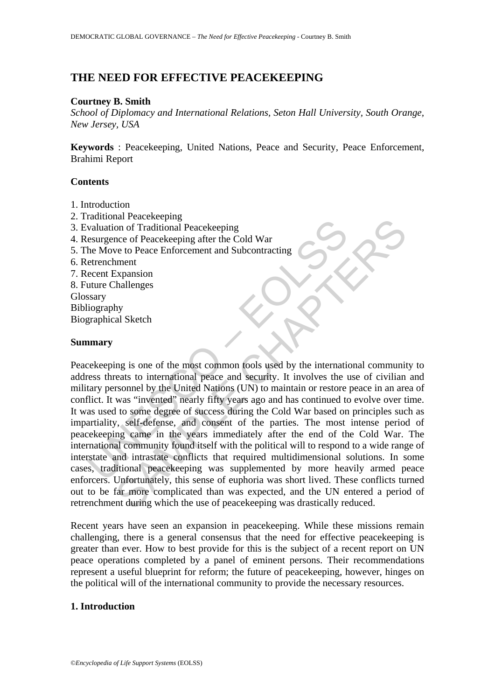# **THE NEED FOR EFFECTIVE PEACEKEEPING**

#### **Courtney B. Smith**

*School of Diplomacy and International Relations, Seton Hall University, South Orange, New Jersey, USA* 

**Keywords** : Peacekeeping, United Nations, Peace and Security, Peace Enforcement, Brahimi Report

#### **Contents**

- 1. Introduction
- 2. Traditional Peacekeeping
- 3. Evaluation of Traditional Peacekeeping
- 4. Resurgence of Peacekeeping after the Cold War
- 5. The Move to Peace Enforcement and Subcontracting
- 6. Retrenchment
- 7. Recent Expansion
- 8. Future Challenges
- Glossary
- Bibliography
- Biographical Sketch

#### **Summary**

Analian in Caccocology<br>
valuation of Traditional Peacekeeping<br>
esurgence of Peacekeeping after the Cold War<br>
the Move to Peace Enforcement and Subcontracting<br>
etrenchment<br>
uture Challenges<br>
ssary<br>
liography<br>
uture Challeng Francue Complete that a consider the Cold War<br>
mon of Traditional Peacekeeping<br>
mee of Peacekeeping after the Cold War<br>
exponsion<br>
chapter of Peace Enforcement and Subcontracting<br>  $\frac{1}{2}$ <br>  $\frac{1}{2}$ <br>  $\frac{1}{2}$ <br>  $\frac{1}{2}$ Peacekeeping is one of the most common tools used by the international community to address threats to international peace and security. It involves the use of civilian and military personnel by the United Nations (UN) to maintain or restore peace in an area of conflict. It was "invented" nearly fifty years ago and has continued to evolve over time. It was used to some degree of success during the Cold War based on principles such as impartiality, self-defense, and consent of the parties. The most intense period of peacekeeping came in the years immediately after the end of the Cold War. The international community found itself with the political will to respond to a wide range of interstate and intrastate conflicts that required multidimensional solutions. In some cases, traditional peacekeeping was supplemented by more heavily armed peace enforcers. Unfortunately, this sense of euphoria was short lived. These conflicts turned out to be far more complicated than was expected, and the UN entered a period of retrenchment during which the use of peacekeeping was drastically reduced.

Recent years have seen an expansion in peacekeeping. While these missions remain challenging, there is a general consensus that the need for effective peacekeeping is greater than ever. How to best provide for this is the subject of a recent report on UN peace operations completed by a panel of eminent persons. Their recommendations represent a useful blueprint for reform; the future of peacekeeping, however, hinges on the political will of the international community to provide the necessary resources.

### **1. Introduction**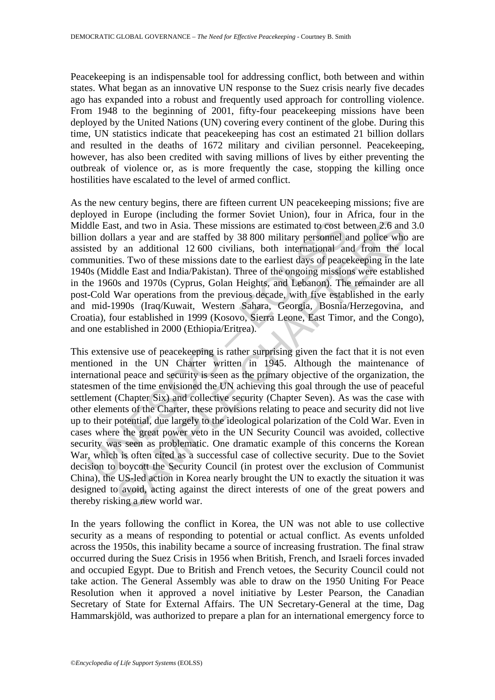Peacekeeping is an indispensable tool for addressing conflict, both between and within states. What began as an innovative UN response to the Suez crisis nearly five decades ago has expanded into a robust and frequently used approach for controlling violence. From 1948 to the beginning of 2001, fifty-four peacekeeping missions have been deployed by the United Nations (UN) covering every continent of the globe. During this time, UN statistics indicate that peacekeeping has cost an estimated 21 billion dollars and resulted in the deaths of 1672 military and civilian personnel. Peacekeeping, however, has also been credited with saving millions of lives by either preventing the outbreak of violence or, as is more frequently the case, stopping the killing once hostilities have escalated to the level of armed conflict.

As the new century begins, there are fifteen current UN peacekeeping missions; five are deployed in Europe (including the former Soviet Union), four in Africa, four in the Middle East, and two in Asia. These missions are estimated to cost between 2.6 and 3.0 billion dollars a year and are staffed by 38 800 military personnel and police who are assisted by an additional 12 600 civilians, both international and from the local communities. Two of these missions date to the earliest days of peacekeeping in the late 1940s (Middle East and India/Pakistan). Three of the ongoing missions were established in the 1960s and 1970s (Cyprus, Golan Heights, and Lebanon). The remainder are all post-Cold War operations from the previous decade, with five established in the early and mid-1990s (Iraq/Kuwait, Western Sahara, Georgia, Bosnia/Herzegovina, and Croatia), four established in 1999 (Kosovo, Sierra Leone, East Timor, and the Congo), and one established in 2000 (Ethiopia/Eritrea).

dle East, and two in Asia. These missions are estimated to cost bon dollars a year and are staffed by 38 800 military personnel a<br>sted by an additional 12 600 civilians, both international an<br>munities. Two of these mission st, and two in Asia. These missions are estimated to cost between 2.6 and<br>ars a year and are staffed by 38 800 military personnel and police who<br>ars a year and are staffed by 38 800 military personnel and dolice who<br>ars a This extensive use of peacekeeping is rather surprising given the fact that it is not even mentioned in the UN Charter written in 1945. Although the maintenance of international peace and security is seen as the primary objective of the organization, the statesmen of the time envisioned the UN achieving this goal through the use of peaceful settlement (Chapter Six) and collective security (Chapter Seven). As was the case with other elements of the Charter, these provisions relating to peace and security did not live up to their potential, due largely to the ideological polarization of the Cold War. Even in cases where the great power veto in the UN Security Council was avoided, collective security was seen as problematic. One dramatic example of this concerns the Korean War, which is often cited as a successful case of collective security. Due to the Soviet decision to boycott the Security Council (in protest over the exclusion of Communist China), the US-led action in Korea nearly brought the UN to exactly the situation it was designed to avoid, acting against the direct interests of one of the great powers and thereby risking a new world war.

In the years following the conflict in Korea, the UN was not able to use collective security as a means of responding to potential or actual conflict. As events unfolded across the 1950s, this inability became a source of increasing frustration. The final straw occurred during the Suez Crisis in 1956 when British, French, and Israeli forces invaded and occupied Egypt. Due to British and French vetoes, the Security Council could not take action. The General Assembly was able to draw on the 1950 Uniting For Peace Resolution when it approved a novel initiative by Lester Pearson, the Canadian Secretary of State for External Affairs. The UN Secretary-General at the time, Dag Hammarskjöld, was authorized to prepare a plan for an international emergency force to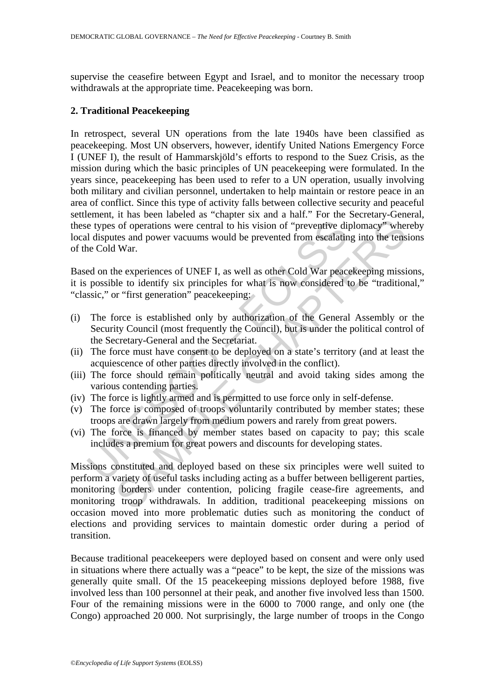supervise the ceasefire between Egypt and Israel, and to monitor the necessary troop withdrawals at the appropriate time. Peacekeeping was born.

### **2. Traditional Peacekeeping**

e types of operations were central to his vision of "preventive di<br>disputes and power vacuums would be prevented from escalatin<br>re Cold War.<br>ed on the experiences of UNEF I, as well as other Cold War peace<br>possible to iden In retrospect, several UN operations from the late 1940s have been classified as peacekeeping. Most UN observers, however, identify United Nations Emergency Force I (UNEF I), the result of Hammarskjöld's efforts to respond to the Suez Crisis, as the mission during which the basic principles of UN peacekeeping were formulated. In the years since, peacekeeping has been used to refer to a UN operation, usually involving both military and civilian personnel, undertaken to help maintain or restore peace in an area of conflict. Since this type of activity falls between collective security and peaceful settlement, it has been labeled as "chapter six and a half." For the Secretary-General, these types of operations were central to his vision of "preventive diplomacy" whereby local disputes and power vacuums would be prevented from escalating into the tensions of the Cold War.

Based on the experiences of UNEF I, as well as other Cold War peacekeeping missions, it is possible to identify six principles for what is now considered to be "traditional," "classic," or "first generation" peacekeeping:

- (i) The force is established only by authorization of the General Assembly or the Security Council (most frequently the Council), but is under the political control of the Secretary-General and the Secretariat.
- (ii) The force must have consent to be deployed on a state's territory (and at least the acquiescence of other parties directly involved in the conflict).
- (iii) The force should remain politically neutral and avoid taking sides among the various contending parties.
- (iv) The force is lightly armed and is permitted to use force only in self-defense.
- (v) The force is composed of troops voluntarily contributed by member states; these troops are drawn largely from medium powers and rarely from great powers.
- (vi) The force is financed by member states based on capacity to pay; this scale includes a premium for great powers and discounts for developing states.

of operations were central to his vision of "preventive diplomacy" wheres and power vacuums would be prevented from escalating into the tens War.<br>
War.<br>
the experiences of UNEF I, as well as other Cold War peacekeeping mis Missions constituted and deployed based on these six principles were well suited to perform a variety of useful tasks including acting as a buffer between belligerent parties, monitoring borders under contention, policing fragile cease-fire agreements, and monitoring troop withdrawals. In addition, traditional peacekeeping missions on occasion moved into more problematic duties such as monitoring the conduct of elections and providing services to maintain domestic order during a period of transition.

Because traditional peacekeepers were deployed based on consent and were only used in situations where there actually was a "peace" to be kept, the size of the missions was generally quite small. Of the 15 peacekeeping missions deployed before 1988, five involved less than 100 personnel at their peak, and another five involved less than 1500. Four of the remaining missions were in the 6000 to 7000 range, and only one (the Congo) approached 20 000. Not surprisingly, the large number of troops in the Congo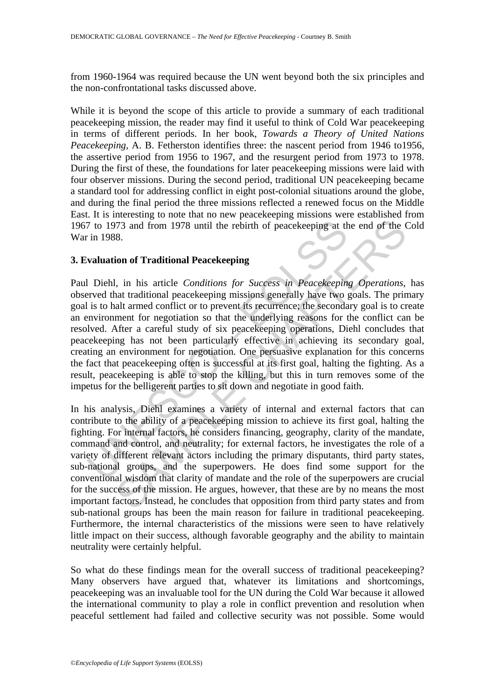from 1960-1964 was required because the UN went beyond both the six principles and the non-confrontational tasks discussed above.

While it is beyond the scope of this article to provide a summary of each traditional peacekeeping mission, the reader may find it useful to think of Cold War peacekeeping in terms of different periods. In her book, *Towards a Theory of United Nations Peacekeeping*, A. B. Fetherston identifies three: the nascent period from 1946 to1956, the assertive period from 1956 to 1967, and the resurgent period from 1973 to 1978. During the first of these, the foundations for later peacekeeping missions were laid with four observer missions. During the second period, traditional UN peacekeeping became a standard tool for addressing conflict in eight post-colonial situations around the globe, and during the final period the three missions reflected a renewed focus on the Middle East. It is interesting to note that no new peacekeeping missions were established from 1967 to 1973 and from 1978 until the rebirth of peacekeeping at the end of the Cold War in 1988.

## **3. Evaluation of Traditional Peacekeeping**

7 to 1973 and from 1978 until the rebirth of peacekeeping at the rise in 1988.<br> **Communism** valuation of Traditional Peacekeeping<br>
Unitary in The mean of Traditional peacekeeping<br>
IDiehl, in his article Conditions for Succ 773 and from 1978 until the rebirth of peacekeeping at the end of the CR and from 1978 until the rebirth of peacekeeping at the end of the CR and transmit traditional Peacekeeping missions generally have two goals. The pri Paul Diehl, in his article *Conditions for Success in Peacekeeping Operations*, has observed that traditional peacekeeping missions generally have two goals. The primary goal is to halt armed conflict or to prevent its recurrence; the secondary goal is to create an environment for negotiation so that the underlying reasons for the conflict can be resolved. After a careful study of six peacekeeping operations, Diehl concludes that peacekeeping has not been particularly effective in achieving its secondary goal, creating an environment for negotiation. One persuasive explanation for this concerns the fact that peacekeeping often is successful at its first goal, halting the fighting. As a result, peacekeeping is able to stop the killing, but this in turn removes some of the impetus for the belligerent parties to sit down and negotiate in good faith.

In his analysis, Diehl examines a variety of internal and external factors that can contribute to the ability of a peacekeeping mission to achieve its first goal, halting the fighting. For internal factors, he considers financing, geography, clarity of the mandate, command and control, and neutrality; for external factors, he investigates the role of a variety of different relevant actors including the primary disputants, third party states, sub-national groups, and the superpowers. He does find some support for the conventional wisdom that clarity of mandate and the role of the superpowers are crucial for the success of the mission. He argues, however, that these are by no means the most important factors. Instead, he concludes that opposition from third party states and from sub-national groups has been the main reason for failure in traditional peacekeeping. Furthermore, the internal characteristics of the missions were seen to have relatively little impact on their success, although favorable geography and the ability to maintain neutrality were certainly helpful.

So what do these findings mean for the overall success of traditional peacekeeping? Many observers have argued that, whatever its limitations and shortcomings, peacekeeping was an invaluable tool for the UN during the Cold War because it allowed the international community to play a role in conflict prevention and resolution when peaceful settlement had failed and collective security was not possible. Some would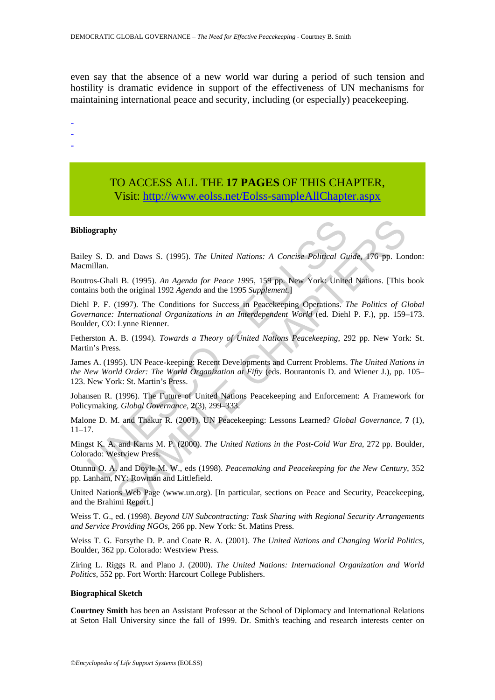even say that the absence of a new world war during a period of such tension and hostility is dramatic evidence in support of the effectiveness of UN mechanisms for maintaining international peace and security, including (or especially) peacekeeping.

- -
- -
- TO ACCESS ALL THE **17 PAGES** OF THIS CHAPTER, Visi[t: http://www.eolss.net/Eolss-sampleAllChapter.aspx](https://www.eolss.net/ebooklib/sc_cart.aspx?File=E1-41-01-05)

#### **Bibliography**

Bailey S. D. and Daws S. (1995). *The United Nations: A Concise Political Guide*, 176 pp. London: Macmillan.

Boutros-Ghali B. (1995). *An Agenda for Peace 1995*, 159 pp. New York: United Nations. [This book contains both the original 1992 *Agenda* and the 1995 *Supplement.*]

iography<br>
Ey S. D. and Daws S. (1995). *The United Nations: A Concise Political Gu*<br>
millan.<br>
ros-Ghali B. (1995). *An Agenda for Peace 1995*, 159 pp. New York: Unite<br>
inns both the original 1992 *Agenda* and the 1995 *Sup* **SAMPLE CONSET CONSET CONSET CONSET CONSET CONSET CONSET CONSET IS A (1995).** An Agenda for Peace 1995, 159 pp. New York: United Nations. [This is (1995). An Agenda for Peace 1995, 159 pp. New York: United Nations. [This t Diehl P. F. (1997). The Conditions for Success in Peacekeeping Operations. *The Politics of Global Governance: International Organizations in an Interdependent World* (ed. Diehl P. F.), pp. 159–173. Boulder, CO: Lynne Rienner.

Fetherston A. B. (1994). *Towards a Theory of United Nations Peacekeeping*, 292 pp. New York: St. Martin's Press.

James A. (1995). UN Peace-keeping: Recent Developments and Current Problems. *The United Nations in the New World Order: The World Organization at Fifty* (eds. Bourantonis D. and Wiener J.), pp. 105– 123. New York: St. Martin's Press.

Johansen R. (1996). The Future of United Nations Peacekeeping and Enforcement: A Framework for Policymaking. *Global Governance,* **2**(3), 299–333.

Malone D. M. and Thakur R. (2001). UN Peacekeeping: Lessons Learned? *Global Governance,* **7** (1), 11–17.

Mingst K. A. and Karns M. P. (2000). *The United Nations in the Post-Cold War Era*, 272 pp. Boulder, Colorado: Westview Press.

Otunnu O. A. and Doyle M. W., eds (1998). *Peacemaking and Peacekeeping for the New Century*, 352 pp. Lanham, NY: Rowman and Littlefield.

United Nations Web Page (www.un.org). [In particular, sections on Peace and Security, Peacekeeping, and the Brahimi Report.]

Weiss T. G., ed. (1998). *Beyond UN Subcontracting: Task Sharing with Regional Security Arrangements and Service Providing NGOs*, 266 pp. New York: St. Matins Press.

Weiss T. G. Forsythe D. P. and Coate R. A. (2001). *The United Nations and Changing World Politics*, Boulder, 362 pp. Colorado: Westview Press.

Ziring L. Riggs R. and Plano J. (2000). *The United Nations: International Organization and World Politics,* 552 pp. Fort Worth: Harcourt College Publishers.

#### **Biographical Sketch**

**Courtney Smith** has been an Assistant Professor at the School of Diplomacy and International Relations at Seton Hall University since the fall of 1999. Dr. Smith's teaching and research interests center on